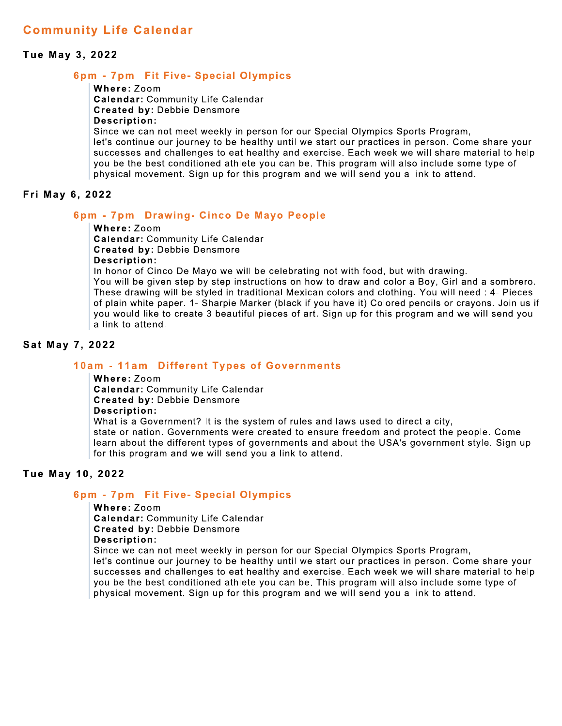### Tue May 3, 2022

## 6pm - 7pm Fit Five- Special Olympics

#### Where: Zoom

**Calendar: Community Life Calendar Created by: Debbie Densmore** 

# Description:

Since we can not meet weekly in person for our Special Olympics Sports Program, let's continue our journey to be healthy until we start our practices in person. Come share your successes and challenges to eat healthy and exercise. Each week we will share material to help you be the best conditioned athlete you can be. This program will also include some type of physical movement. Sign up for this program and we will send you a link to attend.

## Fri May 6, 2022

# 6pm - 7pm Drawing- Cinco De Mayo People

#### Where: Zoom

**Calendar: Community Life Calendar Created by: Debbie Densmore** 

### Description:

In honor of Cinco De Mayo we will be celebrating not with food, but with drawing.

You will be given step by step instructions on how to draw and color a Boy, Girl and a sombrero. These drawing will be styled in traditional Mexican colors and clothing. You will need : 4- Pieces of plain white paper. 1- Sharpie Marker (black if you have it) Colored pencils or crayons. Join us if you would like to create 3 beautiful pieces of art. Sign up for this program and we will send you a link to attend.

## Sat May 7, 2022

# 10am - 11am Different Types of Governments

#### Where: Zoom

**Calendar: Community Life Calendar** 

**Created by: Debbie Densmore** 

### Description:

What is a Government? It is the system of rules and laws used to direct a city, state or nation. Governments were created to ensure freedom and protect the people. Come learn about the different types of governments and about the USA's government style. Sign up for this program and we will send you a link to attend.

# Tue May 10, 2022

# 6pm - 7pm Fit Five- Special Olympics

#### Where: Zoom

**Calendar: Community Life Calendar** 

#### **Created by: Debbie Densmore**

#### Description:

Since we can not meet weekly in person for our Special Olympics Sports Program, let's continue our journey to be healthy until we start our practices in person. Come share your successes and challenges to eat healthy and exercise. Each week we will share material to help you be the best conditioned athlete you can be. This program will also include some type of physical movement. Sign up for this program and we will send you a link to attend.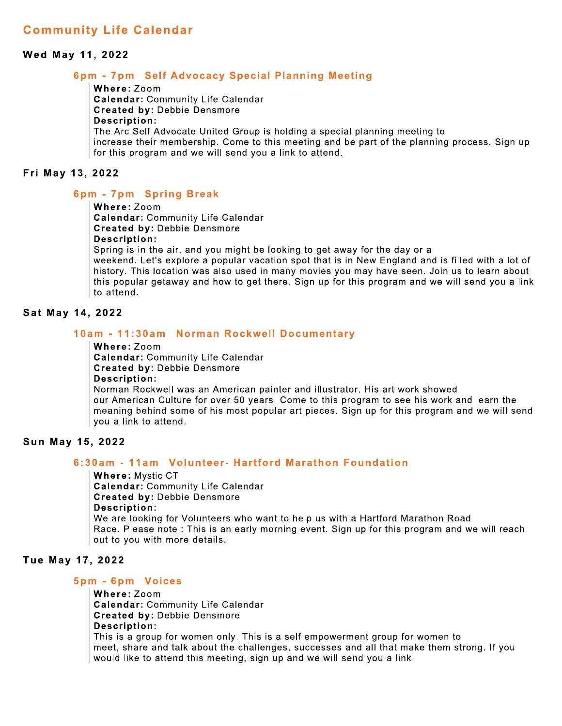#### Wed May 11, 2022

# 6pm - 7pm Self Advocacy Special Planning Meeting

#### Where: Zoom

**Calendar: Community Life Calendar Created by: Debbie Densmore** 

#### Description:

The Arc Self Advocate United Group is holding a special planning meeting to increase their membership. Come to this meeting and be part of the planning process. Sign up for this program and we will send you a link to attend.

# Fri May 13, 2022

### 6pm - 7pm Spring Break

#### Where: Zoom

**Calendar: Community Life Calendar** 

# **Created by: Debbie Densmore**

Description:

Spring is in the air, and you might be looking to get away for the day or a

weekend. Let's explore a popular vacation spot that is in New England and is filled with a lot of history. This location was also used in many movies you may have seen. Join us to learn about this popular getaway and how to get there. Sign up for this program and we will send you a link to attend.

### Sat May 14, 2022

# 10am - 11:30am Norman Rockwell Documentary

#### Where: Zoom

**Calendar: Community Life Calendar** 

**Created by: Debbie Densmore** 

Description:

Norman Rockwell was an American painter and illustrator. His art work showed our American Culture for over 50 years. Come to this program to see his work and learn the meaning behind some of his most popular art pieces. Sign up for this program and we will send you a link to attend.

### Sun May 15, 2022

## 6:30am - 11am Volunteer- Hartford Marathon Foundation

Where: Mystic CT **Calendar: Community Life Calendar Created by: Debbie Densmore** Description: We are looking for Volunteers who want to help us with a Hartford Marathon Road Race. Please note: This is an early morning event. Sign up for this program and we will reach out to you with more details.

# Tue May 17, 2022

#### 5pm - 6pm Voices

#### Where: Zoom

**Calendar: Community Life Calendar Created by: Debbie Densmore** Description:

This is a group for women only. This is a self empowerment group for women to meet, share and talk about the challenges, successes and all that make them strong. If you would like to attend this meeting, sign up and we will send you a link.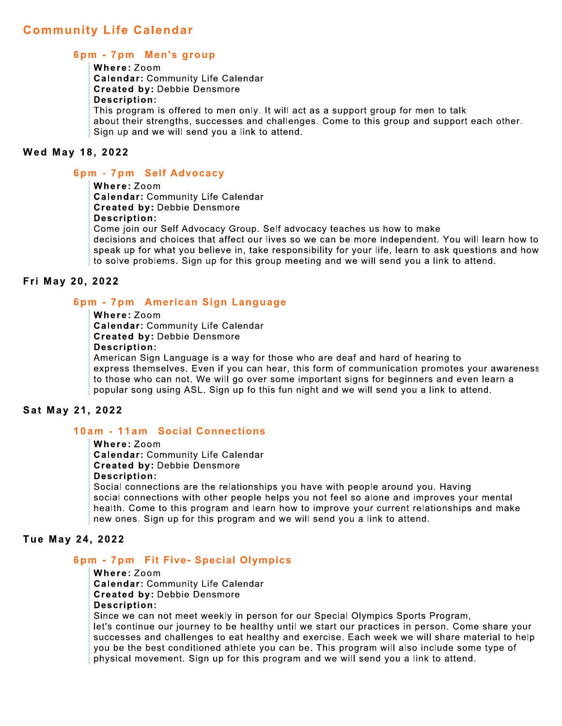## 6pm - 7pm Men's group

#### Where: Zoom

**Calendar: Community Life Calendar** 

**Created by: Debbie Densmore** 

## Description:

This program is offered to men only. It will act as a support group for men to talk about their strengths, successes and challenges. Come to this group and support each other. Sign up and we will send you a link to attend.

# Wed May 18, 2022

## 6pm - 7pm Self Advocacy

#### Where: Zoom

**Calendar: Community Life Calendar Created by: Debbie Densmore** 

#### Description:

Come join our Self Advocacy Group. Self advocacy teaches us how to make

decisions and choices that affect our lives so we can be more independent. You will learn how to speak up for what you believe in, take responsibility for your life, learn to ask questions and how to solve problems. Sign up for this group meeting and we will send you a link to attend.

## Fri May 20, 2022

## 6pm - 7pm American Sign Language

#### Where: Zoom

**Calendar: Community Life Calendar Created by: Debbie Densmore** 

# Description:

American Sign Language is a way for those who are deaf and hard of hearing to express themselves. Even if you can hear, this form of communication promotes your awareness to those who can not. We will go over some important signs for beginners and even learn a popular song using ASL. Sign up fo this fun night and we will send you a link to attend.

# Sat May 21, 2022

# 10am - 11am Social Connections

Where: Zoom **Calendar: Community Life Calendar Created by: Debbie Densmore** Description:

Social connections are the relationships you have with people around you. Having social connections with other people helps you not feel so alone and improves your mental health. Come to this program and learn how to improve your current relationships and make new ones. Sign up for this program and we will send you a link to attend.

### **Tue May 24, 2022**

# 6pm - 7pm Fit Five- Special Olympics

Where: Zoom **Calendar: Community Life Calendar Created by: Debbie Densmore** Description:

Since we can not meet weekly in person for our Special Olympics Sports Program, let's continue our journey to be healthy until we start our practices in person. Come share your successes and challenges to eat healthy and exercise. Each week we will share material to help you be the best conditioned athlete you can be. This program will also include some type of physical movement. Sign up for this program and we will send you a link to attend.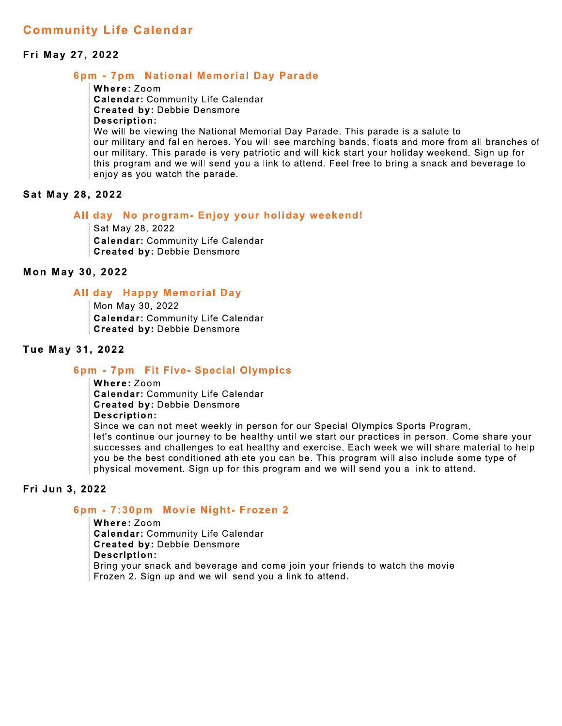## Fri May 27, 2022

## 6pm - 7pm National Memorial Day Parade

#### Where: Zoom

**Calendar: Community Life Calendar Created by: Debbie Densmore** 

Description:

We will be viewing the National Memorial Day Parade. This parade is a salute to our military and fallen heroes. You will see marching bands, floats and more from all branches of our military. This parade is very patriotic and will kick start your holiday weekend. Sign up for this program and we will send you a link to attend. Feel free to bring a snack and beverage to enjoy as you watch the parade.

# Sat May 28, 2022

## All day No program- Enjoy your holiday weekend!

Sat May 28, 2022 **Calendar: Community Life Calendar Created by: Debbie Densmore** 

## Mon May 30, 2022

## **All day Happy Memorial Day**

Mon May 30, 2022 **Calendar: Community Life Calendar Created by: Debbie Densmore** 

### Tue May 31, 2022

# 6pm - 7pm Fit Five- Special Olympics

Where: Zoom **Calendar: Community Life Calendar Created by: Debbie Densmore** Description:

Since we can not meet weekly in person for our Special Olympics Sports Program. let's continue our journey to be healthy until we start our practices in person. Come share your successes and challenges to eat healthy and exercise. Each week we will share material to help you be the best conditioned athlete you can be. This program will also include some type of physical movement. Sign up for this program and we will send you a link to attend.

# Fri Jun 3, 2022

### 6pm - 7:30pm Movie Night- Frozen 2

Where: Zoom **Calendar: Community Life Calendar Created by: Debbie Densmore** Description: Bring your snack and beverage and come join your friends to watch the movie Frozen 2. Sign up and we will send you a link to attend.